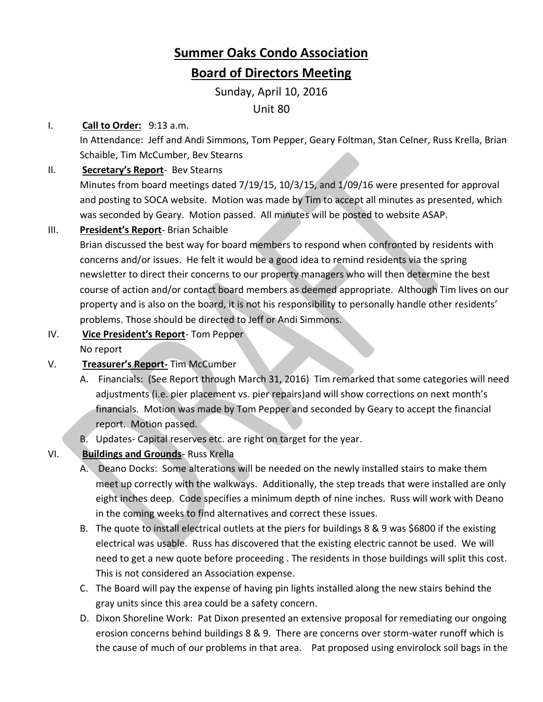# **Summer Oaks Condo Association Board of Directors Meeting**

Sunday, April 10, 2016

Unit 80

## I. **Call to Order:** 9:13 a.m.

In Attendance: Jeff and Andi Simmons, Tom Pepper, Geary Foltman, Stan Celner, Russ Krella, Brian Schaible, Tim McCumber, Bev Stearns

## II. **Secretary's Report**- Bev Stearns

Minutes from board meetings dated 7/19/15, 10/3/15, and 1/09/16 were presented for approval and posting to SOCA website. Motion was made by Tim to accept all minutes as presented, which was seconded by Geary. Motion passed. All minutes will be posted to website ASAP.

# III. **President's Report**- Brian Schaible

Brian discussed the best way for board members to respond when confronted by residents with concerns and/or issues. He felt it would be a good idea to remind residents via the spring newsletter to direct their concerns to our property managers who will then determine the best course of action and/or contact board members as deemed appropriate. Although Tim lives on our property and is also on the board, it is not his responsibility to personally handle other residents' problems. Those should be directed to Jeff or Andi Simmons.

- IV. **Vice President's Report** Tom Pepper
	- No report
- V. **Treasurer's Report-** Tim McCumber
	- A. Financials: (See Report through March 31, 2016) Tim remarked that some categories will need adjustments (i.e. pier placement vs. pier repairs)and will show corrections on next month's financials. Motion was made by Tom Pepper and seconded by Geary to accept the financial report. Motion passed.
	- B. Updates- Capital reserves etc. are right on target for the year.
- VI. **Buildings and Grounds** Russ Krella
	- A. Deano Docks: Some alterations will be needed on the newly installed stairs to make them meet up correctly with the walkways. Additionally, the step treads that were installed are only eight inches deep. Code specifies a minimum depth of nine inches. Russ will work with Deano in the coming weeks to find alternatives and correct these issues.
	- B. The quote to install electrical outlets at the piers for buildings 8 & 9 was \$6800 if the existing electrical was usable. Russ has discovered that the existing electric cannot be used. We will need to get a new quote before proceeding . The residents in those buildings will split this cost. This is not considered an Association expense.
	- C. The Board will pay the expense of having pin lights installed along the new stairs behind the gray units since this area could be a safety concern.
	- D. Dixon Shoreline Work: Pat Dixon presented an extensive proposal for remediating our ongoing erosion concerns behind buildings 8 & 9. There are concerns over storm-water runoff which is the cause of much of our problems in that area. Pat proposed using envirolock soil bags in the